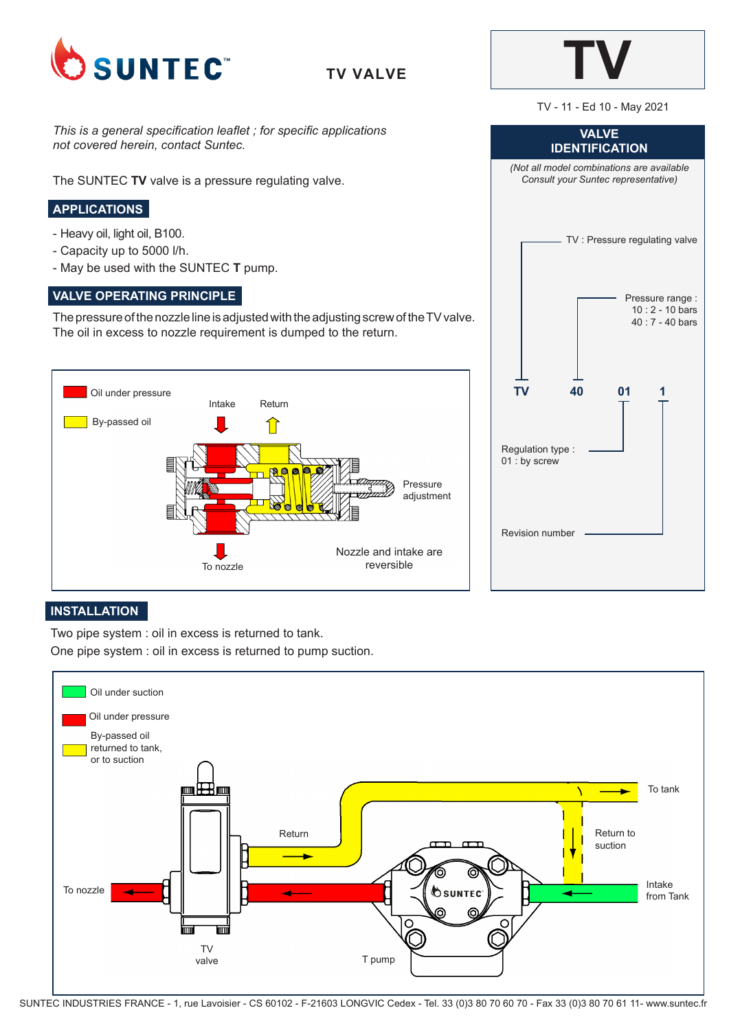

**TV VALVE**



TV - 11 - Ed 10 - May 2021

*This is a general specification leaflet ; for specific applications not covered herein, contact Suntec.*

The SUNTEC **TV** valve is a pressure regulating valve.

# **APPLICATIONS**

- Heavy oil, light oil, B100.
- Capacity up to 5000 l/h.
- May be used with the SUNTEC **T** pump.

## **VALVE OPERATING PRINCIPLE**

The pressure of the nozzle line is adjusted with the adjusting screw of the TV valve. The oil in excess to nozzle requirement is dumped to the return.





#### **INSTALLATION**

Two pipe system : oil in excess is returned to tank.

One pipe system : oil in excess is returned to pump suction.



SUNTEC INDUSTRIES FRANCE - 1, rue Lavoisier - CS 60102 - F-21603 LONGVIC Cedex - Tel. 33 (0)3 80 70 60 70 - Fax 33 (0)3 80 70 61 11- www.suntec.fr